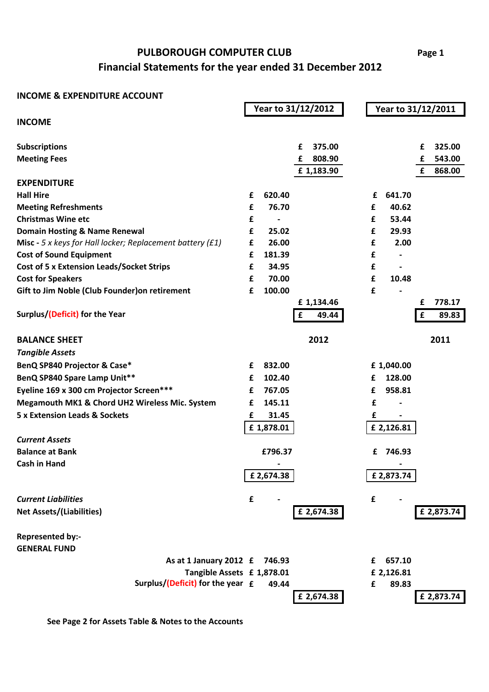## **Financial Statements for the year ended 31 December 2012 PULBOROUGH COMPUTER CLUB**

## **INCOME & EXPENDITURE ACCOUNT**

|                                                                    |   |                          | Year to 31/12/2012       |   | Year to 31/12/2011 |             |                  |
|--------------------------------------------------------------------|---|--------------------------|--------------------------|---|--------------------|-------------|------------------|
| <b>INCOME</b>                                                      |   |                          |                          |   |                    |             |                  |
|                                                                    |   |                          |                          |   |                    |             |                  |
| <b>Subscriptions</b>                                               |   |                          | 375.00<br>£              |   |                    | £           | 325.00           |
| <b>Meeting Fees</b>                                                |   |                          | 808.90<br>£<br>£1,183.90 |   |                    | £<br>£      | 543.00<br>868.00 |
| <b>EXPENDITURE</b>                                                 |   |                          |                          |   |                    |             |                  |
| <b>Hall Hire</b>                                                   | £ | 620.40                   |                          | £ | 641.70             |             |                  |
| <b>Meeting Refreshments</b>                                        | £ | 76.70                    |                          | £ | 40.62              |             |                  |
| <b>Christmas Wine etc</b>                                          | £ | $\overline{\phantom{a}}$ |                          | £ | 53.44              |             |                  |
| <b>Domain Hosting &amp; Name Renewal</b>                           | £ | 25.02                    |                          | £ | 29.93              |             |                  |
| <b>Misc</b> - 5 x keys for Hall locker; Replacement battery $(f1)$ | £ | 26.00                    |                          | £ | 2.00               |             |                  |
| <b>Cost of Sound Equipment</b>                                     | £ | 181.39                   |                          | £ |                    |             |                  |
| <b>Cost of 5 x Extension Leads/Socket Strips</b>                   | £ | 34.95                    |                          | £ |                    |             |                  |
| <b>Cost for Speakers</b>                                           | £ | 70.00                    |                          | £ | 10.48              |             |                  |
| Gift to Jim Noble (Club Founder) on retirement                     | £ | 100.00                   |                          | £ |                    |             |                  |
|                                                                    |   |                          | £1,134.46                |   |                    | £           | 778.17           |
| Surplus/(Deficit) for the Year                                     |   |                          | £<br>49.44               |   |                    | $\mathbf f$ | 89.83            |
| <b>BALANCE SHEET</b>                                               |   |                          | 2012                     |   |                    |             | 2011             |
| <b>Tangible Assets</b>                                             |   |                          |                          |   |                    |             |                  |
| BenQ SP840 Projector & Case*                                       | £ | 832.00                   |                          |   | £1,040.00          |             |                  |
| BenQ SP840 Spare Lamp Unit**                                       | £ | 102.40                   |                          | £ | 128.00             |             |                  |
| Eyeline 169 x 300 cm Projector Screen***                           | £ | 767.05                   |                          | £ | 958.81             |             |                  |
| Megamouth MK1 & Chord UH2 Wireless Mic. System                     | £ | 145.11                   |                          | £ |                    |             |                  |
| <b>5 x Extension Leads &amp; Sockets</b>                           | £ | 31.45                    |                          | £ |                    |             |                  |
|                                                                    |   | £1,878.01                |                          |   | £ 2,126.81         |             |                  |
| <b>Current Assets</b>                                              |   |                          |                          |   |                    |             |                  |
| <b>Balance at Bank</b>                                             |   | £796.37                  |                          | £ | 746.93             |             |                  |
| <b>Cash in Hand</b>                                                |   |                          |                          |   |                    |             |                  |
|                                                                    |   | £2,674.38                |                          |   | £2,873.74          |             |                  |
| <b>Current Liabilities</b>                                         | £ |                          |                          | £ |                    |             |                  |
|                                                                    |   |                          | £ 2,674.38               |   |                    |             |                  |
| <b>Net Assets/(Liabilities)</b>                                    |   |                          |                          |   |                    |             | £ 2,873.74       |
| <b>Represented by:-</b>                                            |   |                          |                          |   |                    |             |                  |
| <b>GENERAL FUND</b>                                                |   |                          |                          |   |                    |             |                  |
| As at 1 January 2012 £                                             |   | 746.93                   |                          | £ | 657.10             |             |                  |
| Tangible Assets £ 1,878.01                                         |   |                          |                          |   | £ 2,126.81         |             |                  |
| Surplus/(Deficit) for the year $f$                                 |   | 49.44                    |                          | £ | 89.83              |             |                  |
|                                                                    |   |                          | £ 2,674.38               |   |                    |             | £ 2,873.74       |

**See Page 2 for Assets Table & Notes to the Accounts**

**Page 1**